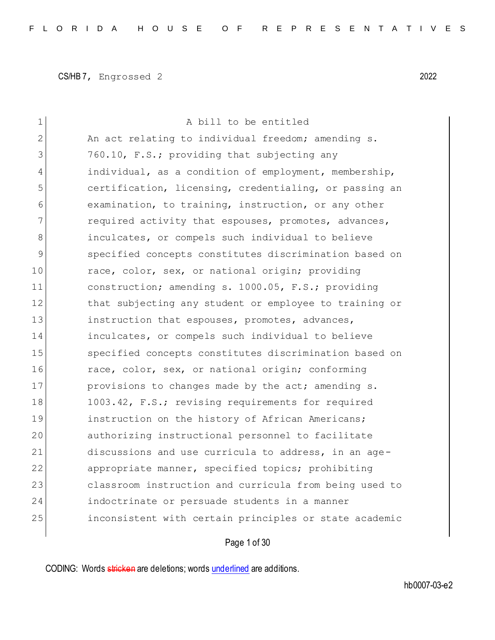| $\mathbf 1$   | A bill to be entitled                                  |
|---------------|--------------------------------------------------------|
| 2             | An act relating to individual freedom; amending s.     |
| 3             | 760.10, F.S.; providing that subjecting any            |
| 4             | individual, as a condition of employment, membership,  |
| 5             | certification, licensing, credentialing, or passing an |
| 6             | examination, to training, instruction, or any other    |
| 7             | required activity that espouses, promotes, advances,   |
| 8             | inculcates, or compels such individual to believe      |
| $\mathcal{G}$ | specified concepts constitutes discrimination based on |
| 10            | race, color, sex, or national origin; providing        |
| 11            | construction; amending s. 1000.05, F.S.; providing     |
| 12            | that subjecting any student or employee to training or |
| 13            | instruction that espouses, promotes, advances,         |
| 14            | inculcates, or compels such individual to believe      |
| 15            | specified concepts constitutes discrimination based on |
| 16            | race, color, sex, or national origin; conforming       |
| 17            | provisions to changes made by the act; amending s.     |
| 18            | 1003.42, F.S.; revising requirements for required      |
| 19            | instruction on the history of African Americans;       |
| 20            | authorizing instructional personnel to facilitate      |
| 21            | discussions and use curricula to address, in an age-   |
| 22            | appropriate manner, specified topics; prohibiting      |
| 23            | classroom instruction and curricula from being used to |
| 24            | indoctrinate or persuade students in a manner          |
| 25            | inconsistent with certain principles or state academic |
|               |                                                        |

# Page 1 of 30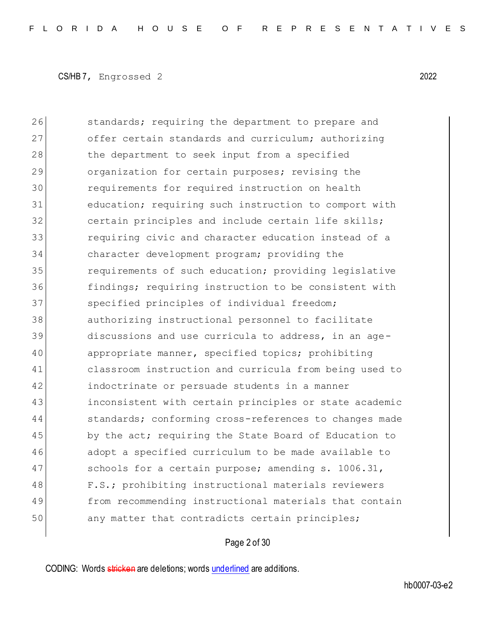26 standards; requiring the department to prepare and 27 offer certain standards and curriculum; authorizing 28 the department to seek input from a specified 29 organization for certain purposes; revising the 30 requirements for required instruction on health 31 education; requiring such instruction to comport with 32 certain principles and include certain life skills; 33 requiring civic and character education instead of a 34 character development program; providing the 35 **requirements of such education;** providing legislative 36 findings; requiring instruction to be consistent with 37 specified principles of individual freedom; 38 authorizing instructional personnel to facilitate 39 discussions and use curricula to address, in an age-40 appropriate manner, specified topics; prohibiting 41 classroom instruction and curricula from being used to 42 indoctrinate or persuade students in a manner 43 inconsistent with certain principles or state academic 44 standards; conforming cross-references to changes made 45 by the act; requiring the State Board of Education to 46 adopt a specified curriculum to be made available to 47 schools for a certain purpose; amending s. 1006.31, 48 F.S.; prohibiting instructional materials reviewers 49 from recommending instructional materials that contain 50 any matter that contradicts certain principles;

Page 2 of 30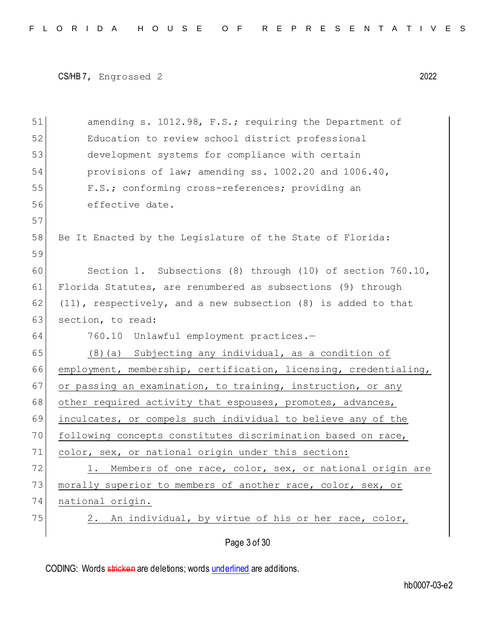```
CS/HB 7, Engrossed 2 2022
```

| 51 | amending s. 1012.98, F.S.; requiring the Department of           |
|----|------------------------------------------------------------------|
| 52 | Education to review school district professional                 |
| 53 | development systems for compliance with certain                  |
| 54 | provisions of law; amending ss. 1002.20 and 1006.40,             |
| 55 | F.S.; conforming cross-references; providing an                  |
| 56 | effective date.                                                  |
| 57 |                                                                  |
| 58 | Be It Enacted by the Legislature of the State of Florida:        |
| 59 |                                                                  |
| 60 | Section 1. Subsections (8) through (10) of section $760.10$ ,    |
| 61 | Florida Statutes, are renumbered as subsections (9) through      |
| 62 | (11), respectively, and a new subsection (8) is added to that    |
| 63 | section, to read:                                                |
| 64 | 760.10 Unlawful employment practices.-                           |
| 65 | $(8)$ (a) Subjecting any individual, as a condition of           |
| 66 | employment, membership, certification, licensing, credentialing, |
| 67 | or passing an examination, to training, instruction, or any      |
| 68 | other required activity that espouses, promotes, advances,       |
| 69 | inculcates, or compels such individual to believe any of the     |
| 70 | following concepts constitutes discrimination based on race,     |
| 71 | color, sex, or national origin under this section:               |
| 72 | 1. Members of one race, color, sex, or national origin are       |
| 73 | morally superior to members of another race, color, sex, or      |
| 74 | national origin.                                                 |
| 75 | An individual, by virtue of his or her race, color,<br>2.        |
|    | Page 3 of 30                                                     |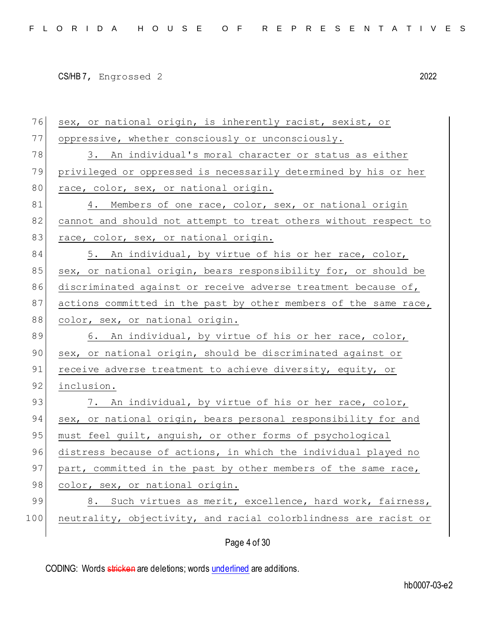| 76  | sex, or national origin, is inherently racist, sexist, or        |
|-----|------------------------------------------------------------------|
| 77  | oppressive, whether consciously or unconsciously.                |
| 78  | 3. An individual's moral character or status as either           |
| 79  | privileged or oppressed is necessarily determined by his or her  |
| 80  | race, color, sex, or national origin.                            |
| 81  | 4. Members of one race, color, sex, or national origin           |
| 82  | cannot and should not attempt to treat others without respect to |
| 83  | race, color, sex, or national origin.                            |
| 84  | 5. An individual, by virtue of his or her race, color,           |
| 85  | sex, or national origin, bears responsibility for, or should be  |
| 86  | discriminated against or receive adverse treatment because of,   |
| 87  | actions committed in the past by other members of the same race, |
| 88  | color, sex, or national origin.                                  |
| 89  | 6. An individual, by virtue of his or her race, color,           |
| 90  | sex, or national origin, should be discriminated against or      |
| 91  | receive adverse treatment to achieve diversity, equity, or       |
| 92  | inclusion.                                                       |
| 93  | 7. An individual, by virtue of his or her race, color,           |
| 94  | sex, or national origin, bears personal responsibility for and   |
| 95  | must feel guilt, anguish, or other forms of psychological        |
| 96  | distress because of actions, in which the individual played no   |
| 97  | part, committed in the past by other members of the same race,   |
| 98  | color, sex, or national origin.                                  |
| 99  | Such virtues as merit, excellence, hard work, fairness,<br>8.    |
| 100 | neutrality, objectivity, and racial colorblindness are racist or |
|     |                                                                  |
|     | Page 4 of 30                                                     |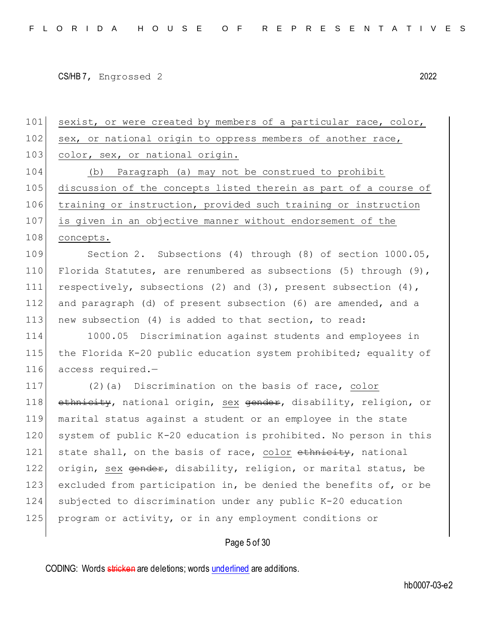101 sexist, or were created by members of a particular race, color, 102 sex, or national origin to oppress members of another race, 103 color, sex, or national origin. 104 (b) Paragraph (a) may not be construed to prohibit 105 discussion of the concepts listed therein as part of a course of 106 training or instruction, provided such training or instruction 107 is given in an objective manner without endorsement of the 108 concepts. 109 Section 2. Subsections (4) through (8) of section 1000.05, 110 Florida Statutes, are renumbered as subsections (5) through (9), 111 respectively, subsections (2) and (3), present subsection (4), 112 and paragraph (d) of present subsection (6) are amended, and a 113 new subsection (4) is added to that section, to read: 114 1000.05 Discrimination against students and employees in 115 the Florida K-20 public education system prohibited; equality of 116 access required.— 117 (2)(a) Discrimination on the basis of race, color 118| e<del>thnicity</del>, national origin, <u>sex</u> <del>gender</del>, disability, religion, or 119 marital status against a student or an employee in the state 120 system of public K-20 education is prohibited. No person in this 121 state shall, on the basis of race, color ethnicity, national 122 origin, sex gender, disability, religion, or marital status, be 123 excluded from participation in, be denied the benefits of, or be 124 subjected to discrimination under any public K-20 education 125 program or activity, or in any employment conditions or

Page 5 of 30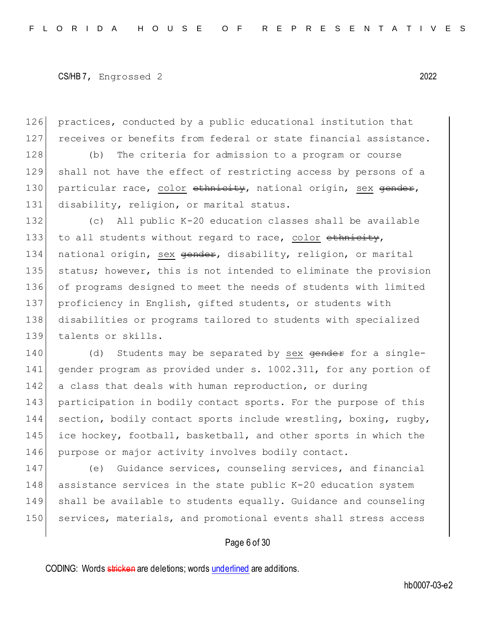126 practices, conducted by a public educational institution that 127 receives or benefits from federal or state financial assistance.

128 (b) The criteria for admission to a program or course 129 shall not have the effect of restricting access by persons of a 130 particular race, color ethnicity, national origin, sex gender, 131 disability, religion, or marital status.

 (c) All public K-20 education classes shall be available 133 to all students without regard to race, color  $\epsilon$ thnicity, 134 national origin, sex <del>gender</del>, disability, religion, or marital status; however, this is not intended to eliminate the provision of programs designed to meet the needs of students with limited proficiency in English, gifted students, or students with disabilities or programs tailored to students with specialized talents or skills.

140 (d) Students may be separated by sex gender for a single-141 gender program as provided under s. 1002.311, for any portion of 142 a class that deals with human reproduction, or during 143 participation in bodily contact sports. For the purpose of this 144 section, bodily contact sports include wrestling, boxing, rugby, 145 ice hockey, football, basketball, and other sports in which the 146 purpose or major activity involves bodily contact.

 (e) Guidance services, counseling services, and financial assistance services in the state public K-20 education system shall be available to students equally. Guidance and counseling 150 services, materials, and promotional events shall stress access

### Page 6 of 30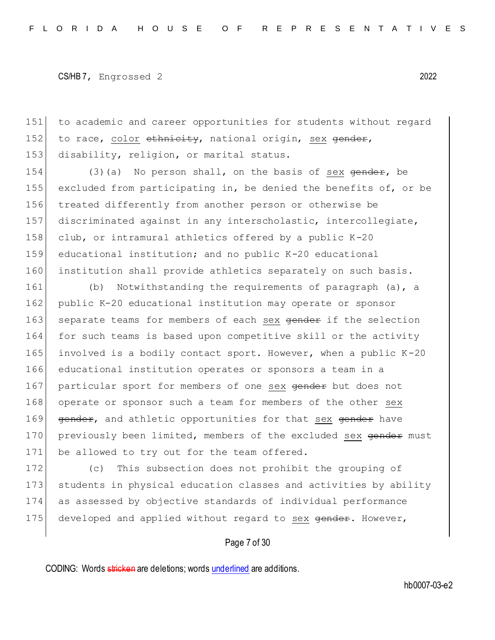151 to academic and career opportunities for students without regard 152 to race, color  $\epsilon$ th is the national origin, sex gender, 153 disability, religion, or marital status.

154 (3)(a) No person shall, on the basis of sex  $\theta$  ender, be excluded from participating in, be denied the benefits of, or be treated differently from another person or otherwise be discriminated against in any interscholastic, intercollegiate, 158 club, or intramural athletics offered by a public  $K-20$  educational institution; and no public K-20 educational institution shall provide athletics separately on such basis.

161 (b) Notwithstanding the requirements of paragraph (a), a 162 public K-20 educational institution may operate or sponsor 163 separate teams for members of each sex gender if the selection 164 for such teams is based upon competitive skill or the activity 165 involved is a bodily contact sport. However, when a public  $K-20$ 166 educational institution operates or sponsors a team in a 167 particular sport for members of one sex gender but does not 168 operate or sponsor such a team for members of the other sex 169 gender, and athletic opportunities for that sex gender have 170 previously been limited, members of the excluded sex gender must 171 be allowed to try out for the team offered.

172 (c) This subsection does not prohibit the grouping of 173 students in physical education classes and activities by ability 174 as assessed by objective standards of individual performance 175 developed and applied without regard to sex gender. However,

### Page 7 of 30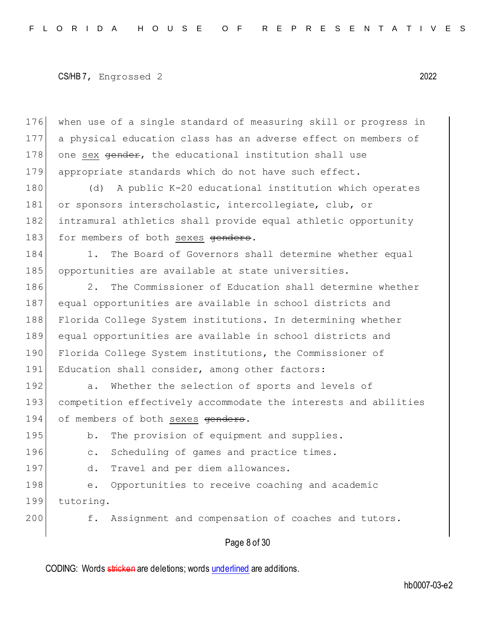when use of a single standard of measuring skill or progress in a physical education class has an adverse effect on members of 178 one sex gender, the educational institution shall use appropriate standards which do not have such effect.

180 (d) A public K-20 educational institution which operates 181 or sponsors interscholastic, intercollegiate, club, or 182 intramural athletics shall provide equal athletic opportunity 183 for members of both sexes genders.

184 1. The Board of Governors shall determine whether equal 185 opportunities are available at state universities.

186 2. The Commissioner of Education shall determine whether 187 equal opportunities are available in school districts and 188 Florida College System institutions. In determining whether 189 equal opportunities are available in school districts and 190 Florida College System institutions, the Commissioner of 191 Education shall consider, among other factors:

192 a. Whether the selection of sports and levels of 193 competition effectively accommodate the interests and abilities 194 of members of both sexes genders.

195 b. The provision of equipment and supplies.

196 c. Scheduling of games and practice times.

197 d. Travel and per diem allowances.

198 e. Opportunities to receive coaching and academic 199 tutoring.

200 f. Assignment and compensation of coaches and tutors.

Page 8 of 30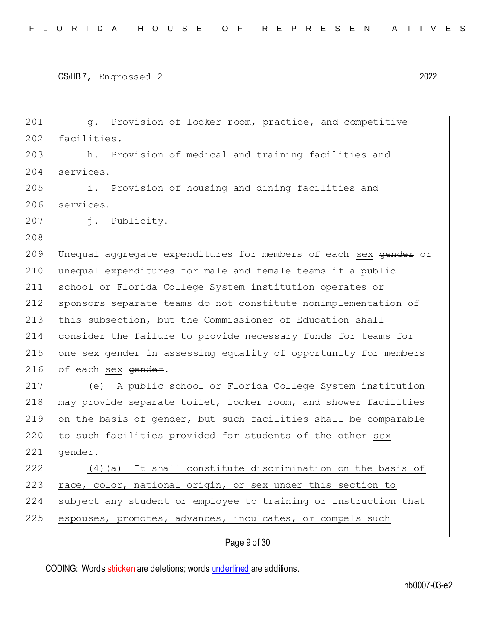201 g. Provision of locker room, practice, and competitive 202 facilities. 203 h. Provision of medical and training facilities and 204 services. 205 i. Provision of housing and dining facilities and 206 services. 207 j. Publicity. 208 209 Unequal aggregate expenditures for members of each sex  $\theta$ 210 unequal expenditures for male and female teams if a public 211 school or Florida College System institution operates or 212 sponsors separate teams do not constitute nonimplementation of 213 this subsection, but the Commissioner of Education shall 214 consider the failure to provide necessary funds for teams for 215 one sex gender in assessing equality of opportunity for members  $216$  of each sex gender. 217 (e) A public school or Florida College System institution 218 may provide separate toilet, locker room, and shower facilities 219 on the basis of gender, but such facilities shall be comparable 220 to such facilities provided for students of the other sex  $221$  gender. 222 (4)(a) It shall constitute discrimination on the basis of 223 race, color, national origin, or sex under this section to 224 subject any student or employee to training or instruction that 225 espouses, promotes, advances, inculcates, or compels such

## Page 9 of 30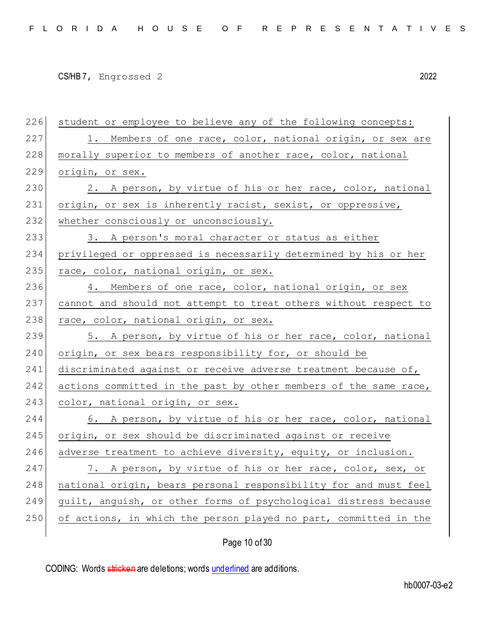226 student or employee to believe any of the following concepts: 227 1. Members of one race, color, national origin, or sex are 228 morally superior to members of another race, color, national 229 origin, or sex. 230 2. A person, by virtue of his or her race, color, national 231 origin, or sex is inherently racist, sexist, or oppressive, 232 whether consciously or unconsciously. 233 3. A person's moral character or status as either 234 privileged or oppressed is necessarily determined by his or her 235 race, color, national origin, or sex. 236 4. Members of one race, color, national origin, or sex 237 cannot and should not attempt to treat others without respect to 238 race, color, national origin, or sex. 239 5. A person, by virtue of his or her race, color, national 240 origin, or sex bears responsibility for, or should be 241 discriminated against or receive adverse treatment because of, 242 actions committed in the past by other members of the same race, 243 color, national origin, or sex. 244 6. A person, by virtue of his or her race, color, national 245 origin, or sex should be discriminated against or receive 246 adverse treatment to achieve diversity, equity, or inclusion. 247 7. A person, by virtue of his or her race, color, sex, or 248 national origin, bears personal responsibility for and must feel 249 guilt, anguish, or other forms of psychological distress because 250 of actions, in which the person played no part, committed in the

Page 10 of 30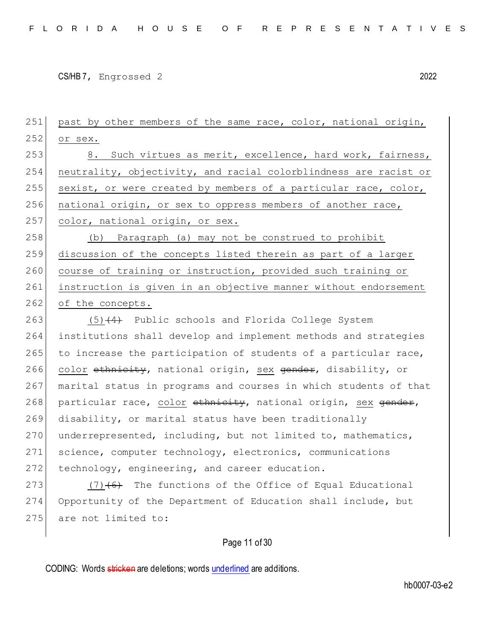251 past by other members of the same race, color, national origin, 252 or sex. 253 8. Such virtues as merit, excellence, hard work, fairness, 254 neutrality, objectivity, and racial colorblindness are racist or 255 sexist, or were created by members of a particular race, color, 256 national origin, or sex to oppress members of another race, 257 color, national origin, or sex. 258 (b) Paragraph (a) may not be construed to prohibit 259 discussion of the concepts listed therein as part of a larger 260 course of training or instruction, provided such training or 261 instruction is given in an objective manner without endorsement 262 of the concepts.  $263$  (5) $(4)$  Public schools and Florida College System 264 institutions shall develop and implement methods and strategies  $265$  to increase the participation of students of a particular race, 266 color ethnicity, national origin, sex gender, disability, or 267 marital status in programs and courses in which students of that 268 particular race, color ethnicity, national origin, sex gender, 269 disability, or marital status have been traditionally 270 underrepresented, including, but not limited to, mathematics, 271 science, computer technology, electronics, communications 272 technology, engineering, and career education. 273  $(7)$   $(6)$  The functions of the Office of Equal Educational 274 Opportunity of the Department of Education shall include, but 275 are not limited to:

Page 11 of 30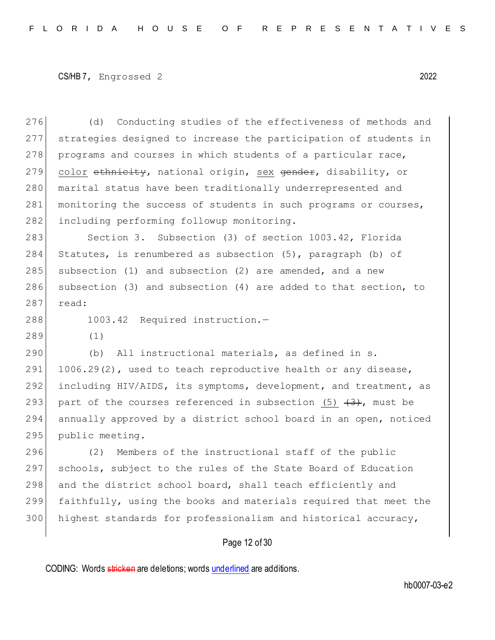276 (d) Conducting studies of the effectiveness of methods and 277 strategies designed to increase the participation of students in 278 programs and courses in which students of a particular race, 279 color ethnicity, national origin, sex gender, disability, or 280 marital status have been traditionally underrepresented and 281 monitoring the success of students in such programs or courses, 282 including performing followup monitoring.

283 Section 3. Subsection (3) of section 1003.42, Florida 284 Statutes, is renumbered as subsection (5), paragraph (b) of 285 subsection (1) and subsection (2) are amended, and a new 286 subsection (3) and subsection (4) are added to that section, to 287 read:

288 1003.42 Required instruction.-

289 (1)

290 (b) All instructional materials, as defined in s. 291  $1006.29(2)$ , used to teach reproductive health or any disease, 292 including HIV/AIDS, its symptoms, development, and treatment, as 293 part of the courses referenced in subsection  $(5)$   $(3)$ , must be 294 annually approved by a district school board in an open, noticed 295 public meeting.

 (2) Members of the instructional staff of the public schools, subject to the rules of the State Board of Education 298 and the district school board, shall teach efficiently and faithfully, using the books and materials required that meet the highest standards for professionalism and historical accuracy,

## Page 12 of 30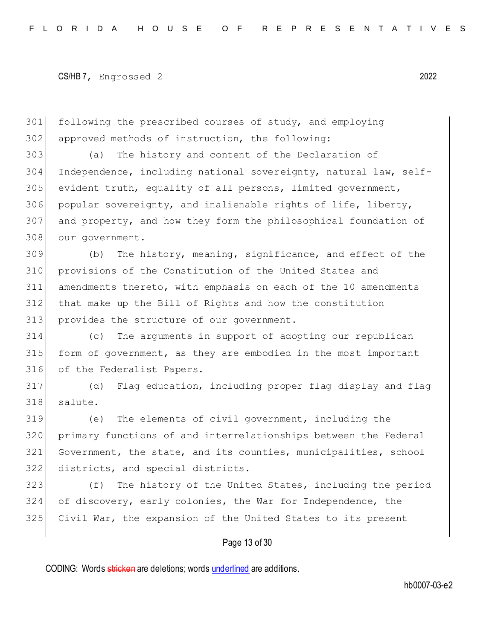following the prescribed courses of study, and employing approved methods of instruction, the following:

 (a) The history and content of the Declaration of Independence, including national sovereignty, natural law, self- evident truth, equality of all persons, limited government, popular sovereignty, and inalienable rights of life, liberty, and property, and how they form the philosophical foundation of our government.

 (b) The history, meaning, significance, and effect of the provisions of the Constitution of the United States and amendments thereto, with emphasis on each of the 10 amendments that make up the Bill of Rights and how the constitution 313 provides the structure of our government.

 (c) The arguments in support of adopting our republican form of government, as they are embodied in the most important of the Federalist Papers.

 (d) Flag education, including proper flag display and flag salute.

 (e) The elements of civil government, including the primary functions of and interrelationships between the Federal Government, the state, and its counties, municipalities, school districts, and special districts.

323 (f) The history of the United States, including the period 324 of discovery, early colonies, the War for Independence, the Civil War, the expansion of the United States to its present

### Page 13 of 30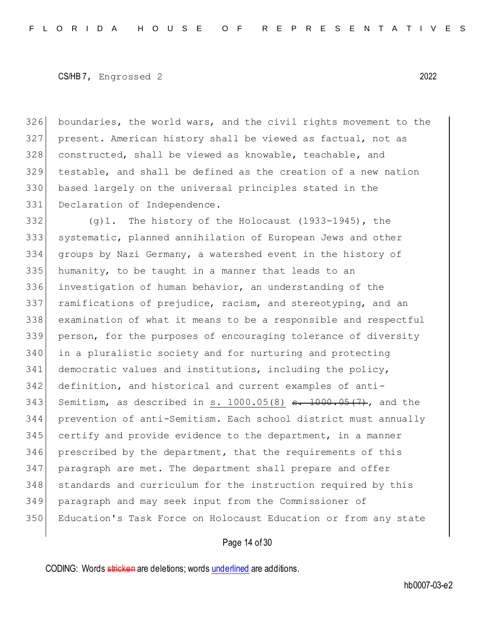boundaries, the world wars, and the civil rights movement to the present. American history shall be viewed as factual, not as 328 constructed, shall be viewed as knowable, teachable, and testable, and shall be defined as the creation of a new nation based largely on the universal principles stated in the 331 Declaration of Independence.

332 (g)1. The history of the Holocaust (1933-1945), the systematic, planned annihilation of European Jews and other groups by Nazi Germany, a watershed event in the history of humanity, to be taught in a manner that leads to an investigation of human behavior, an understanding of the ramifications of prejudice, racism, and stereotyping, and an examination of what it means to be a responsible and respectful person, for the purposes of encouraging tolerance of diversity in a pluralistic society and for nurturing and protecting 341 democratic values and institutions, including the policy, definition, and historical and current examples of anti-343 Semitism, as described in  $s. 1000.05(8)$   $s. 1000.05(7)$ , and the prevention of anti-Semitism. Each school district must annually certify and provide evidence to the department, in a manner prescribed by the department, that the requirements of this paragraph are met. The department shall prepare and offer standards and curriculum for the instruction required by this paragraph and may seek input from the Commissioner of Education's Task Force on Holocaust Education or from any state

### Page 14 of 30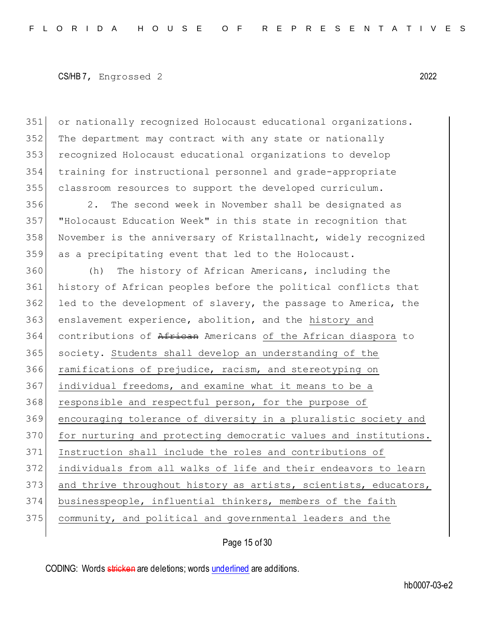or nationally recognized Holocaust educational organizations. The department may contract with any state or nationally 353 recognized Holocaust educational organizations to develop training for instructional personnel and grade-appropriate classroom resources to support the developed curriculum.

 2. The second week in November shall be designated as "Holocaust Education Week" in this state in recognition that November is the anniversary of Kristallnacht, widely recognized as a precipitating event that led to the Holocaust.

 (h) The history of African Americans, including the history of African peoples before the political conflicts that led to the development of slavery, the passage to America, the 363 enslavement experience, abolition, and the history and contributions of African Americans of the African diaspora to society. Students shall develop an understanding of the ramifications of prejudice, racism, and stereotyping on 367 individual freedoms, and examine what it means to be a 368 responsible and respectful person, for the purpose of encouraging tolerance of diversity in a pluralistic society and 370 for nurturing and protecting democratic values and institutions. Instruction shall include the roles and contributions of individuals from all walks of life and their endeavors to learn 373 and thrive throughout history as artists, scientists, educators, businesspeople, influential thinkers, members of the faith community, and political and governmental leaders and the

Page 15 of 30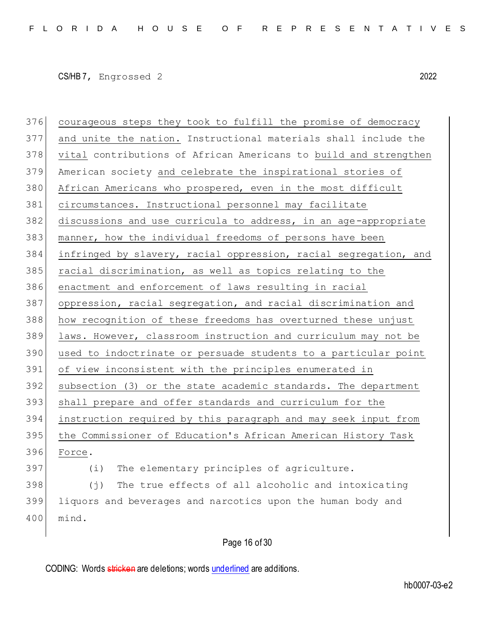courageous steps they took to fulfill the promise of democracy and unite the nation. Instructional materials shall include the vital contributions of African Americans to build and strengthen American society and celebrate the inspirational stories of 380 African Americans who prospered, even in the most difficult circumstances. Instructional personnel may facilitate 382 discussions and use curricula to address, in an age-appropriate manner, how the individual freedoms of persons have been infringed by slavery, racial oppression, racial segregation, and racial discrimination, as well as topics relating to the enactment and enforcement of laws resulting in racial 387 oppression, racial segregation, and racial discrimination and how recognition of these freedoms has overturned these unjust laws. However, classroom instruction and curriculum may not be used to indoctrinate or persuade students to a particular point of view inconsistent with the principles enumerated in subsection (3) or the state academic standards. The department shall prepare and offer standards and curriculum for the instruction required by this paragraph and may seek input from 395 the Commissioner of Education's African American History Task Force. (i) The elementary principles of agriculture. (j) The true effects of all alcoholic and intoxicating liquors and beverages and narcotics upon the human body and mind.

Page 16 of 30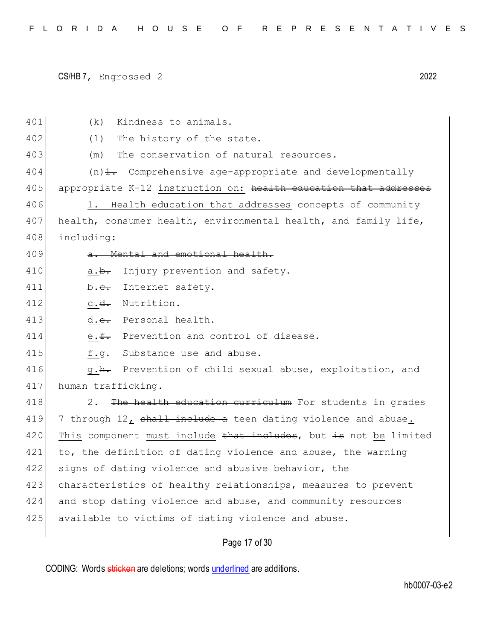| 401 | Kindness to animals.<br>(k)                                             |
|-----|-------------------------------------------------------------------------|
| 402 | (1)<br>The history of the state.                                        |
| 403 | The conservation of natural resources.<br>(m)                           |
| 404 | $(n)$ $\frac{1}{n}$ Comprehensive age-appropriate and developmentally   |
| 405 | appropriate K-12 instruction on: health education that addresses        |
| 406 | Health education that addresses concepts of community<br>1.             |
| 407 | health, consumer health, environmental health, and family life,         |
| 408 | including:                                                              |
| 409 | a. Mental and emotional health.                                         |
| 410 | Injury prevention and safety.<br>a. <del>b.</del>                       |
| 411 | Internet safety.<br>b. <del>c.</del>                                    |
| 412 | Nutrition.<br>$c \cdot d$ .                                             |
| 413 | d.e. Personal health.                                                   |
| 414 | e.f. Prevention and control of disease.                                 |
| 415 | Substance use and abuse.<br>f. <del>q.</del>                            |
| 416 | Prevention of child sexual abuse, exploitation, and<br>q. <del>h.</del> |
| 417 | human trafficking.                                                      |
| 418 | The health education curriculum For students in grades<br>2.            |
| 419 | 7 through 12, shall include a teen dating violence and abuse.           |
| 420 | This component must include that includes, but is not be limited        |
| 421 | to, the definition of dating violence and abuse, the warning            |
| 422 | signs of dating violence and abusive behavior, the                      |
| 423 | characteristics of healthy relationships, measures to prevent           |
| 424 | and stop dating violence and abuse, and community resources             |
| 425 | available to victims of dating violence and abuse.                      |
|     |                                                                         |

# Page 17 of 30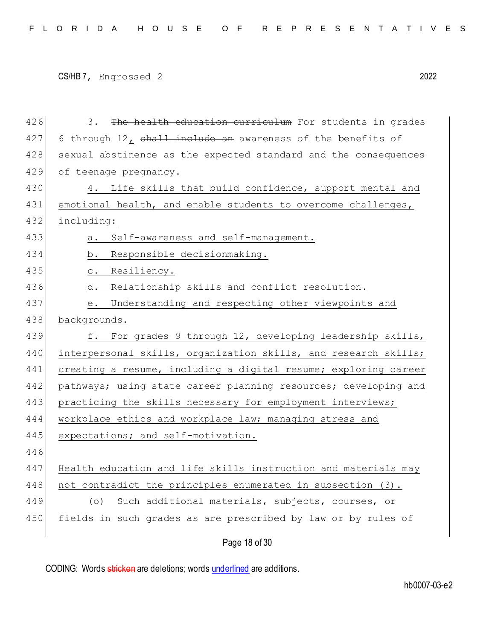```
CS/HB 7, Engrossed 2 2022
```
426 3. The health education curriculum For students in grades 427 6 through 12, shall include an awareness of the benefits of 428 sexual abstinence as the expected standard and the consequences 429 of teenage pregnancy. 430 4. Life skills that build confidence, support mental and 431 emotional health, and enable students to overcome challenges, 432 including: 433 a. Self-awareness and self-management. 434 b. Responsible decisionmaking. 435 c. Resiliency. 436 d. Relationship skills and conflict resolution. 437 e. Understanding and respecting other viewpoints and 438 backgrounds. 439 f. For grades 9 through 12, developing leadership skills, 440 interpersonal skills, organization skills, and research skills; 441 creating a resume, including a digital resume; exploring career 442 pathways; using state career planning resources; developing and 443 practicing the skills necessary for employment interviews; 444 workplace ethics and workplace law; managing stress and 445 expectations; and self-motivation. 446 447 Health education and life skills instruction and materials may 448 | not contradict the principles enumerated in subsection  $(3)$ . 449 (o) Such additional materials, subjects, courses, or 450 fields in such grades as are prescribed by law or by rules of

Page 18 of 30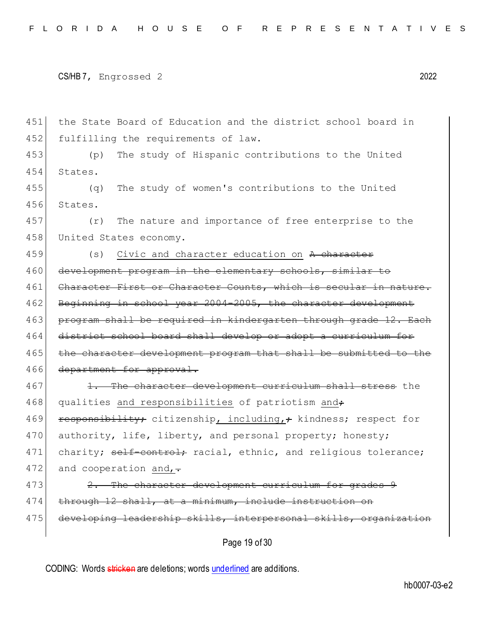451 the State Board of Education and the district school board in 452 fulfilling the requirements of law. 453 (p) The study of Hispanic contributions to the United 454 States. 455 (q) The study of women's contributions to the United 456 States. 457 (r) The nature and importance of free enterprise to the 458 United States economy. 459 (s) Civic and character education on A character 460 development program in the elementary schools, similar to 461 Character First or Character Counts, which is secular in nature. 462 Beginning in school year 2004-2005, the character development 463 program shall be required in kindergarten through grade 12. Each 464 district school board shall develop or adopt a curriculum for 465 the character development program that shall be submitted to the 466 department for approval. 467 1. The character development curriculum shall stress the 468 qualities and responsibilities of patriotism and<del>;</del> 469 responsibility; citizenship, including,; kindness; respect for 470 authority, life, liberty, and personal property; honesty; 471 charity; self-control; racial, ethnic, and religious tolerance; 472 and cooperation and,  $\overline{.}$ 473 2. The character development curriculum for grades 9 474 through 12 shall, at a minimum, include instruction on 475 developing leadership skills, interpersonal skills, organization

Page 19 of 30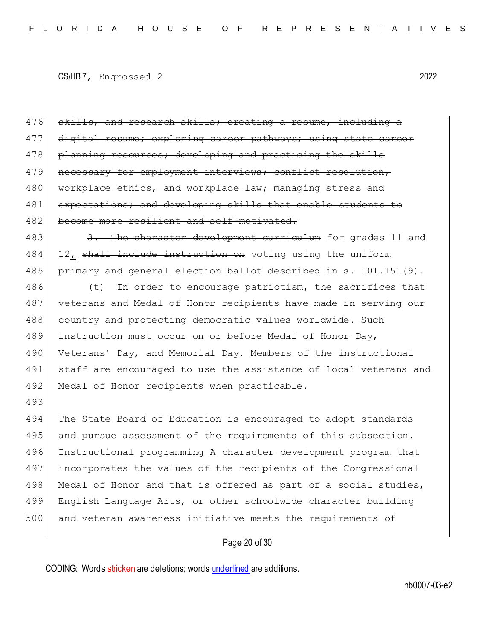```
CS/HB 7, Engrossed 2 2022
```
493

476 skills, and research skills; creating a resume, including a 477 digital resume; exploring career pathways; using state career 478 planning resources; developing and practicing the skills 479 necessary for employment interviews; conflict resolution, 480 workplace ethics, and workplace law; managing stress and 481 expectations; and developing skills that enable students to 482 become more resilient and self-motivated.

483 3. The character development curriculum for grades 11 and 484 12, shall include instruction on voting using the uniform 485 primary and general election ballot described in s. 101.151(9).

486 (t) In order to encourage patriotism, the sacrifices that 487 veterans and Medal of Honor recipients have made in serving our 488 country and protecting democratic values worldwide. Such 489 instruction must occur on or before Medal of Honor Day, 490 Veterans' Day, and Memorial Day. Members of the instructional 491 staff are encouraged to use the assistance of local veterans and 492 Medal of Honor recipients when practicable.

494 The State Board of Education is encouraged to adopt standards 495 and pursue assessment of the requirements of this subsection. 496 Instructional programming A character development program that 497 incorporates the values of the recipients of the Congressional 498 Medal of Honor and that is offered as part of a social studies, 499 English Language Arts, or other schoolwide character building 500 and veteran awareness initiative meets the requirements of

## Page 20 of 30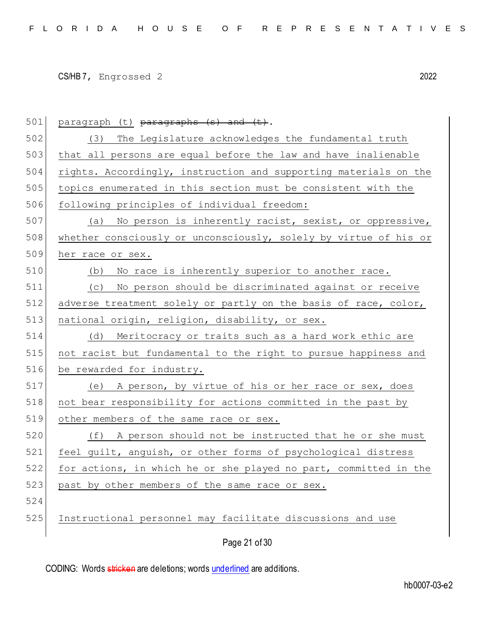| 501 | paragraph (t) paragraphs (s) and (t).                            |
|-----|------------------------------------------------------------------|
| 502 | (3) The Legislature acknowledges the fundamental truth           |
| 503 | that all persons are equal before the law and have inalienable   |
| 504 | rights. Accordingly, instruction and supporting materials on the |
| 505 | topics enumerated in this section must be consistent with the    |
| 506 | following principles of individual freedom:                      |
| 507 | No person is inherently racist, sexist, or oppressive,<br>(a)    |
| 508 | whether consciously or unconsciously, solely by virtue of his or |
| 509 | her race or sex.                                                 |
| 510 | (b) No race is inherently superior to another race.              |
| 511 | (c) No person should be discriminated against or receive         |
| 512 | adverse treatment solely or partly on the basis of race, color,  |
| 513 | national origin, religion, disability, or sex.                   |
| 514 | (d) Meritocracy or traits such as a hard work ethic are          |
| 515 | not racist but fundamental to the right to pursue happiness and  |
| 516 | be rewarded for industry.                                        |
| 517 | (e) A person, by virtue of his or her race or sex, does          |
| 518 | not bear responsibility for actions committed in the past by     |
| 519 | other members of the same race or sex.                           |
| 520 | (f) A person should not be instructed that he or she must        |
| 521 | feel guilt, anguish, or other forms of psychological distress    |
| 522 | for actions, in which he or she played no part, committed in the |
| 523 | past by other members of the same race or sex.                   |
| 524 |                                                                  |
| 525 | Instructional personnel may facilitate discussions and use       |
|     | Page 21 of 30                                                    |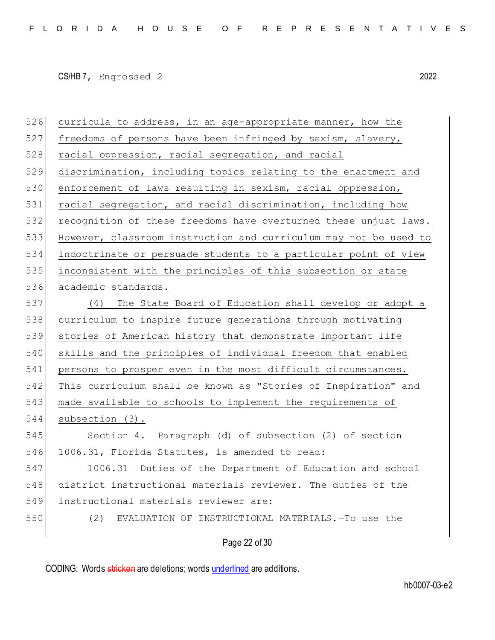526 curricula to address, in an age-appropriate manner, how the 527 freedoms of persons have been infringed by sexism, slavery, 528 racial oppression, racial segregation, and racial discrimination, including topics relating to the enactment and 530 enforcement of laws resulting in sexism, racial oppression, 531 racial segregation, and racial discrimination, including how recognition of these freedoms have overturned these unjust laws. However, classroom instruction and curriculum may not be used to indoctrinate or persuade students to a particular point of view inconsistent with the principles of this subsection or state 536 academic standards. (4) The State Board of Education shall develop or adopt a curriculum to inspire future generations through motivating stories of American history that demonstrate important life skills and the principles of individual freedom that enabled 541 persons to prosper even in the most difficult circumstances. This curriculum shall be known as "Stories of Inspiration" and made available to schools to implement the requirements of 544 subsection (3). Section 4. Paragraph (d) of subsection (2) of section 1006.31, Florida Statutes, is amended to read: 1006.31 Duties of the Department of Education and school district instructional materials reviewer.—The duties of the instructional materials reviewer are: (2) EVALUATION OF INSTRUCTIONAL MATERIALS.—To use the

Page 22 of 30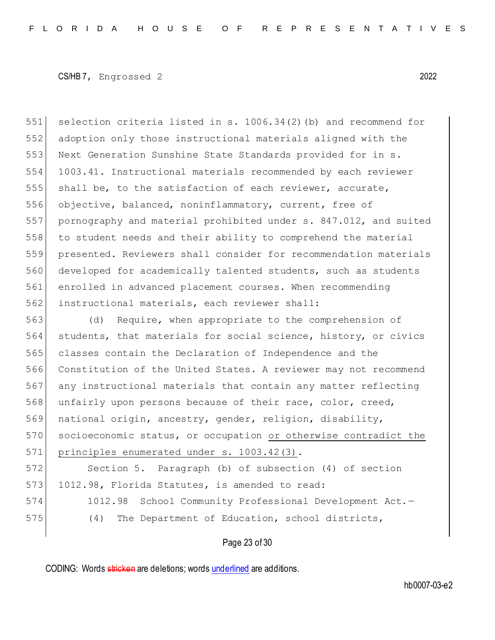selection criteria listed in s. 1006.34(2)(b) and recommend for adoption only those instructional materials aligned with the Next Generation Sunshine State Standards provided for in s. 1003.41. Instructional materials recommended by each reviewer shall be, to the satisfaction of each reviewer, accurate, objective, balanced, noninflammatory, current, free of pornography and material prohibited under s. 847.012, and suited to student needs and their ability to comprehend the material presented. Reviewers shall consider for recommendation materials developed for academically talented students, such as students enrolled in advanced placement courses. When recommending instructional materials, each reviewer shall:

563 (d) Require, when appropriate to the comprehension of 564 students, that materials for social science, history, or civics 565 classes contain the Declaration of Independence and the 566 Constitution of the United States. A reviewer may not recommend 567 any instructional materials that contain any matter reflecting 568 unfairly upon persons because of their race, color, creed, 569 national origin, ancestry, gender, religion, disability, 570 socioeconomic status, or occupation or otherwise contradict the 571 principles enumerated under s. 1003.42(3).

572 Section 5. Paragraph (b) of subsection (4) of section 573 1012.98, Florida Statutes, is amended to read: 574 1012.98 School Community Professional Development Act.-

575 (4) The Department of Education, school districts,

### Page 23 of 30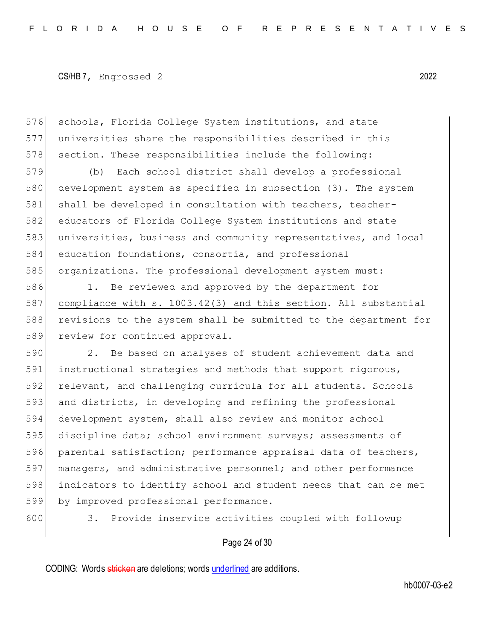576 schools, Florida College System institutions, and state 577 universities share the responsibilities described in this 578 section. These responsibilities include the following:

 (b) Each school district shall develop a professional development system as specified in subsection (3). The system 581 shall be developed in consultation with teachers, teacher- educators of Florida College System institutions and state universities, business and community representatives, and local education foundations, consortia, and professional organizations. The professional development system must:

 1. Be reviewed and approved by the department for compliance with s. 1003.42(3) and this section. All substantial revisions to the system shall be submitted to the department for 589 review for continued approval.

590 2. Be based on analyses of student achievement data and 591 instructional strategies and methods that support rigorous, 592 relevant, and challenging curricula for all students. Schools 593 and districts, in developing and refining the professional 594 development system, shall also review and monitor school 595 discipline data; school environment surveys; assessments of 596 parental satisfaction; performance appraisal data of teachers, 597 managers, and administrative personnel; and other performance 598 indicators to identify school and student needs that can be met 599 by improved professional performance.

600 3. Provide inservice activities coupled with followup

### Page 24 of 30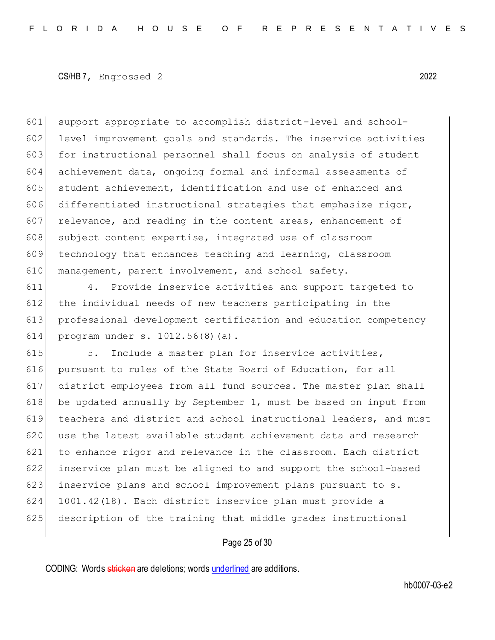601 support appropriate to accomplish district-level and school-602 level improvement goals and standards. The inservice activities 603 for instructional personnel shall focus on analysis of student 604 achievement data, ongoing formal and informal assessments of 605 student achievement, identification and use of enhanced and 606 differentiated instructional strategies that emphasize rigor,  $607$  relevance, and reading in the content areas, enhancement of 608 subject content expertise, integrated use of classroom 609 technology that enhances teaching and learning, classroom 610 management, parent involvement, and school safety.

 4. Provide inservice activities and support targeted to 612 the individual needs of new teachers participating in the professional development certification and education competency program under s. 1012.56(8)(a).

615 5. Include a master plan for inservice activities, 616 pursuant to rules of the State Board of Education, for all 617 district employees from all fund sources. The master plan shall 618 be updated annually by September 1, must be based on input from 619 teachers and district and school instructional leaders, and must 620 use the latest available student achievement data and research 621 to enhance rigor and relevance in the classroom. Each district 622 inservice plan must be aligned to and support the school-based 623 inservice plans and school improvement plans pursuant to s. 624 1001.42(18). Each district inservice plan must provide a 625 description of the training that middle grades instructional

## Page 25 of 30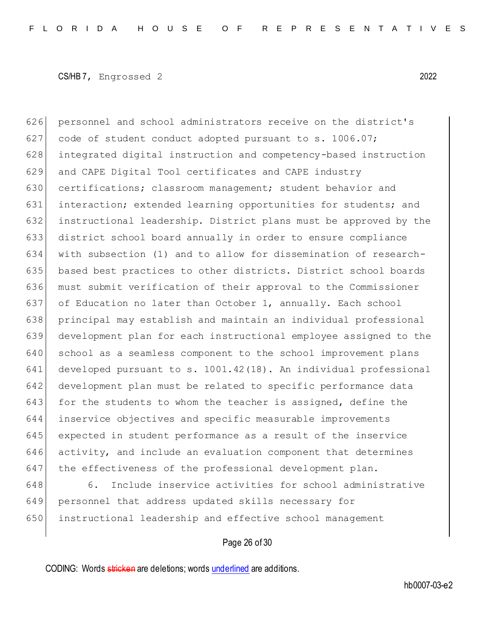626 personnel and school administrators receive on the district's 627 code of student conduct adopted pursuant to s. 1006.07; integrated digital instruction and competency-based instruction 629 and CAPE Digital Tool certificates and CAPE industry 630 certifications; classroom management; student behavior and 631 interaction; extended learning opportunities for students; and instructional leadership. District plans must be approved by the district school board annually in order to ensure compliance with subsection (1) and to allow for dissemination of research- based best practices to other districts. District school boards must submit verification of their approval to the Commissioner of Education no later than October 1, annually. Each school principal may establish and maintain an individual professional development plan for each instructional employee assigned to the 640 school as a seamless component to the school improvement plans developed pursuant to s. 1001.42(18). An individual professional development plan must be related to specific performance data 643 for the students to whom the teacher is assigned, define the inservice objectives and specific measurable improvements expected in student performance as a result of the inservice activity, and include an evaluation component that determines 647 the effectiveness of the professional development plan.

648 6. Include inservice activities for school administrative 649 personnel that address updated skills necessary for 650 instructional leadership and effective school management

## Page 26 of 30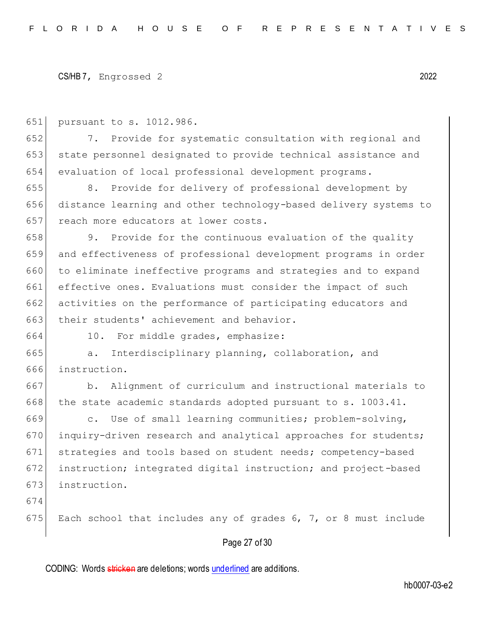651 pursuant to s. 1012.986.

652 7. Provide for systematic consultation with regional and 653 state personnel designated to provide technical assistance and 654 evaluation of local professional development programs.

655 8. Provide for delivery of professional development by 656 distance learning and other technology-based delivery systems to 657 reach more educators at lower costs.

658 9. Provide for the continuous evaluation of the quality 659 and effectiveness of professional development programs in order 660 to eliminate ineffective programs and strategies and to expand 661 effective ones. Evaluations must consider the impact of such 662 activities on the performance of participating educators and 663 their students' achievement and behavior.

664 10. For middle grades, emphasize:

665 a. Interdisciplinary planning, collaboration, and 666 instruction.

667 b. Alignment of curriculum and instructional materials to  $668$  the state academic standards adopted pursuant to s. 1003.41.

669 c. Use of small learning communities; problem-solving, 670 inquiry-driven research and analytical approaches for students; 671 strategies and tools based on student needs; competency-based 672 instruction; integrated digital instruction; and project-based 673 instruction.

674

675 Each school that includes any of grades 6, 7, or 8 must include

## Page 27 of 30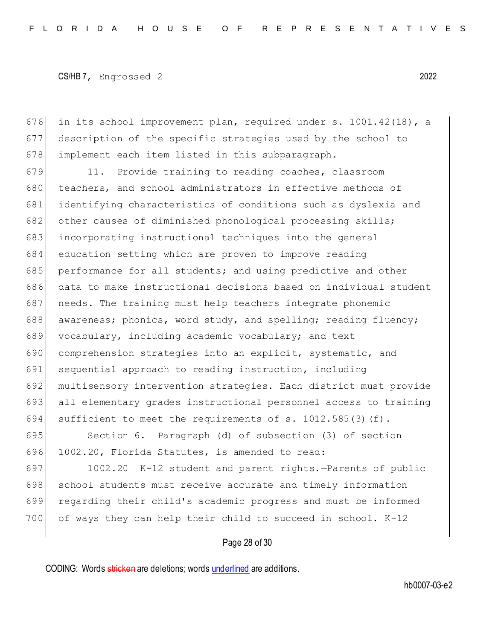676 in its school improvement plan, required under s. 1001.42(18), a 677 description of the specific strategies used by the school to 678 implement each item listed in this subparagraph.

679 11. Provide training to reading coaches, classroom 680 teachers, and school administrators in effective methods of 681 identifying characteristics of conditions such as dyslexia and 682 other causes of diminished phonological processing skills; 683 incorporating instructional techniques into the general 684 education setting which are proven to improve reading 685 performance for all students; and using predictive and other 686 data to make instructional decisions based on individual student 687 needs. The training must help teachers integrate phonemic 688 awareness; phonics, word study, and spelling; reading fluency; 689 vocabulary, including academic vocabulary; and text 690 comprehension strategies into an explicit, systematic, and 691 sequential approach to reading instruction, including 692 multisensory intervention strategies. Each district must provide 693 all elementary grades instructional personnel access to training 694 sufficient to meet the requirements of s. 1012.585(3)(f).

695 Section 6. Paragraph (d) of subsection (3) of section 696 1002.20, Florida Statutes, is amended to read:

697 1002.20 K-12 student and parent rights.—Parents of public 698 | school students must receive accurate and timely information 699 regarding their child's academic progress and must be informed 700 of ways they can help their child to succeed in school. K-12

Page 28 of 30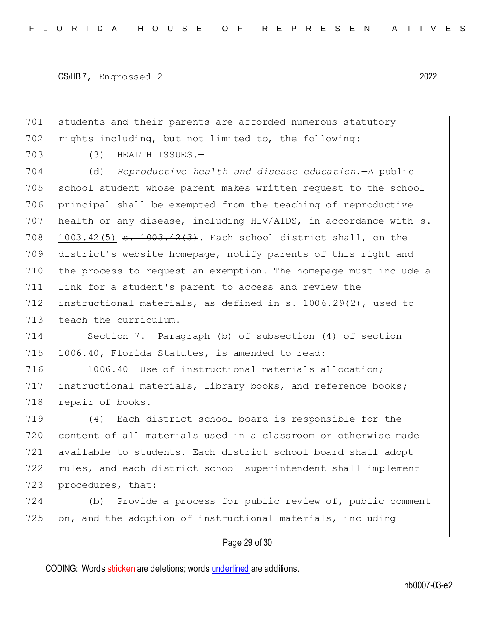```
CS/HB 7, Engrossed 2 2022
```
701 students and their parents are afforded numerous statutory 702 rights including, but not limited to, the following:

703 (3) HEALTH ISSUES.-

 (d) *Reproductive health and disease education.*—A public school student whose parent makes written request to the school principal shall be exempted from the teaching of reproductive health or any disease, including HIV/AIDS, in accordance with s. 708 1003.42(5)  $\frac{1003.42(3)}{1003.42(3)}$ . Each school district shall, on the district's website homepage, notify parents of this right and the process to request an exemption. The homepage must include a link for a student's parent to access and review the instructional materials, as defined in s. 1006.29(2), used to 713 teach the curriculum.

714 Section 7. Paragraph (b) of subsection (4) of section 715 1006.40, Florida Statutes, is amended to read:

716 1006.40 Use of instructional materials allocation; 717 instructional materials, library books, and reference books; 718 repair of books.-

 (4) Each district school board is responsible for the content of all materials used in a classroom or otherwise made available to students. Each district school board shall adopt rules, and each district school superintendent shall implement 723 procedures, that:

724 (b) Provide a process for public review of, public comment 725 on, and the adoption of instructional materials, including

## Page 29 of 30